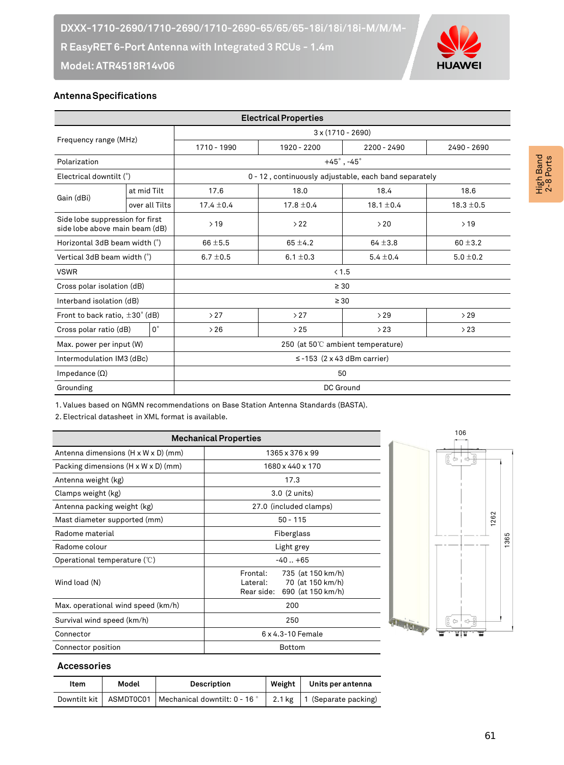

## **Antenna Specifications**

| <b>Electrical Properties</b>                                      |                |                                                       |                              |               |                |  |  |
|-------------------------------------------------------------------|----------------|-------------------------------------------------------|------------------------------|---------------|----------------|--|--|
| Frequency range (MHz)                                             |                | $3 \times (1710 - 2690)$                              |                              |               |                |  |  |
|                                                                   |                | 1710 - 1990                                           | 1920 - 2200<br>$2200 - 2490$ |               | 2490 - 2690    |  |  |
| Polarization                                                      |                | $+45^\circ$ , -45 $^\circ$                            |                              |               |                |  |  |
| Electrical downtilt (°)                                           |                | 0 - 12, continuously adjustable, each band separately |                              |               |                |  |  |
| Gain (dBi)                                                        | at mid Tilt    | 17.6                                                  | 18.0<br>18.4                 |               | 18.6           |  |  |
|                                                                   | over all Tilts | $17.4 \pm 0.4$                                        | $17.8 \pm 0.4$               |               | $18.3 \pm 0.5$ |  |  |
| Side lobe suppression for first<br>side lobe above main beam (dB) |                | >19                                                   | >22                          | >20           | >19            |  |  |
| Horizontal 3dB beam width (°)                                     |                | $66 \pm 5.5$                                          | $65 \pm 4.2$                 | $64 \pm 3.8$  | $60 \pm 3.2$   |  |  |
| Vertical 3dB beam width (°)                                       |                | $6.7 \pm 0.5$                                         | 6.1 $\pm$ 0.3                | $5.4 \pm 0.4$ | $5.0 \pm 0.2$  |  |  |
| <b>VSWR</b>                                                       |                | < 1.5                                                 |                              |               |                |  |  |
| Cross polar isolation (dB)                                        |                | $\geq 30$                                             |                              |               |                |  |  |
| Interband isolation (dB)                                          |                | $\geq 30$                                             |                              |               |                |  |  |
| Front to back ratio, $\pm 30^{\circ}$ (dB)                        |                | >27                                                   | >27                          | >29           | >29            |  |  |
| $0^{\circ}$<br>Cross polar ratio (dB)                             |                | >26                                                   | >25<br>>23                   |               | >23            |  |  |
| Max. power per input (W)                                          |                | 250 (at 50℃ ambient temperature)                      |                              |               |                |  |  |
| Intermodulation IM3 (dBc)                                         |                | $\le$ -153 (2 x 43 dBm carrier)                       |                              |               |                |  |  |
| Impedance $(\Omega)$                                              |                | 50                                                    |                              |               |                |  |  |
| Grounding                                                         |                | DC Ground                                             |                              |               |                |  |  |

1. Values based on NGMN recommendations on Base Station Antenna Standards (BASTA).

2. Electrical datasheet in XML format is available.

| <b>Mechanical Properties</b>                    |                                                                                                  |  |  |  |  |
|-------------------------------------------------|--------------------------------------------------------------------------------------------------|--|--|--|--|
| Antenna dimensions (H x W x D) (mm)             | 1365 x 376 x 99                                                                                  |  |  |  |  |
| Packing dimensions $(H \times W \times D)$ (mm) | 1680 x 440 x 170                                                                                 |  |  |  |  |
| Antenna weight (kg)                             | 17.3                                                                                             |  |  |  |  |
| Clamps weight (kg)                              | 3.0 (2 units)                                                                                    |  |  |  |  |
| Antenna packing weight (kg)                     | 27.0 (included clamps)                                                                           |  |  |  |  |
| Mast diameter supported (mm)                    | $50 - 115$                                                                                       |  |  |  |  |
| Radome material                                 | Fiberglass                                                                                       |  |  |  |  |
| Radome colour                                   | Light grey                                                                                       |  |  |  |  |
| Operational temperature $(\mathcal{C})$         | $-40 + 65$                                                                                       |  |  |  |  |
| Wind load (N)                                   | Frontal:<br>735 (at 150 km/h)<br>70 (at 150 km/h)<br>Lateral:<br>690 (at 150 km/h)<br>Rear side: |  |  |  |  |
| Max. operational wind speed (km/h)              | 200                                                                                              |  |  |  |  |
| Survival wind speed (km/h)                      | 250                                                                                              |  |  |  |  |
| Connector                                       | 6 x 4.3-10 Female                                                                                |  |  |  |  |
| Connector position                              | Bottom                                                                                           |  |  |  |  |



## **Accessories**

| Item         | Model | <b>Description</b>                                              | Weight | Units per antenna    |
|--------------|-------|-----------------------------------------------------------------|--------|----------------------|
| Downtilt kit |       | <code>ASMDTOCO1</code>   Mechanical downtilt: 0 - 16 $^{\circ}$ | 2.1 kg | 1 (Separate packing) |